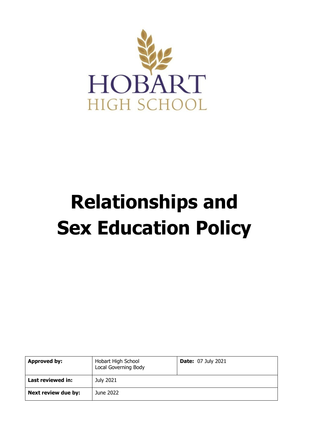

# **Relationships and Sex Education Policy**

| <b>Approved by:</b> | Hobart High School<br>Local Governing Body | <b>Date: 07 July 2021</b> |
|---------------------|--------------------------------------------|---------------------------|
| Last reviewed in:   | July 2021                                  |                           |
| Next review due by: | June 2022                                  |                           |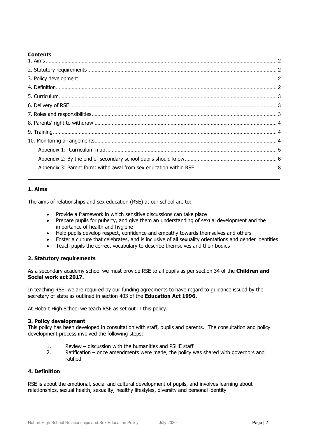## **Contents**

## <span id="page-1-0"></span>**1. Aims**

The aims of relationships and sex education (RSE) at our school are to:

- Provide a framework in which sensitive discussions can take place
- Prepare pupils for puberty, and give them an understanding of sexual development and the importance of health and hygiene
- Help pupils develop respect, confidence and empathy towards themselves and others
- Foster a culture that celebrates, and is inclusive of all sexuality orientations and gender identities
- Teach pupils the correct vocabulary to describe themselves and their bodies

## <span id="page-1-1"></span>**2. Statutory requirements**

As a secondary academy school we must provide RSE to all pupils as per section 34 of the **[Children and](http://www.legislation.gov.uk/ukpga/2017/16/section/34/enacted)  [Social work act 2017.](http://www.legislation.gov.uk/ukpga/2017/16/section/34/enacted)**

In teaching RSE, we are required by our funding agreements to have regard to [guidance](https://www.gov.uk/government/consultations/relationships-and-sex-education-and-health-education) issued by the secretary of state as outlined in section 403 of the **[Education Act 1996.](http://www.legislation.gov.uk/ukpga/1996/56/contents)**

At Hobart High School we teach RSE as set out in this policy.

## <span id="page-1-2"></span>**3. Policy development**

This policy has been developed in consultation with staff, pupils and parents. The consultation and policy development process involved the following steps:

- 1. Review discussion with the humanities and PSHE staff
- 2. Ratification once amendments were made, the policy was shared with governors and ratified

## <span id="page-1-3"></span>**4. Definition**

RSE is about the emotional, social and cultural development of pupils, and involves learning about relationships, sexual health, sexuality, healthy lifestyles, diversity and personal identity.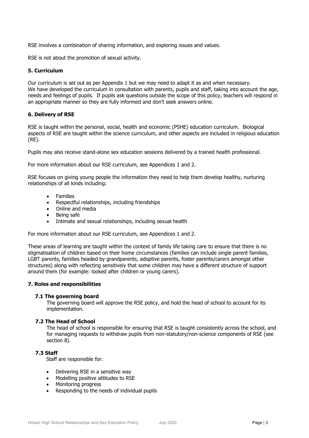RSE involves a combination of sharing information, and exploring issues and values.

RSE is not about the promotion of sexual activity.

#### <span id="page-2-0"></span>**5. Curriculum**

Our curriculum is set out as per Appendix 1 but we may need to adapt it as and when necessary. We have developed the curriculum in consultation with parents, pupils and staff, taking into account the age, needs and feelings of pupils. If pupils ask questions outside the scope of this policy, teachers will respond in an appropriate manner so they are fully informed and don't seek answers online.

## <span id="page-2-1"></span>**6. Delivery of RSE**

RSE is taught within the personal, social, health and economic (PSHE) education curriculum. Biological aspects of RSE are taught within the science curriculum, and other aspects are included in religious education (RE).

Pupils may also receive stand-alone sex education sessions delivered by a trained health professional.

For more information about our RSE curriculum, see Appendices 1 and 2.

RSE focuses on giving young people the information they need to help them develop healthy, nurturing relationships of all kinds including:

- Families
- Respectful relationships, including friendships
- Online and media
- Being safe
- Intimate and sexual relationships, including sexual health

For more information about our RSE curriculum, see Appendices 1 and 2.

These areas of learning are taught within the context of family life taking care to ensure that there is no stigmatisation of children based on their home circumstances (families can include single parent families, LGBT parents, families headed by grandparents, adoptive parents, foster parents/carers amongst other structures) along with reflecting sensitively that some children may have a different structure of support around them (for example: looked after children or young carers).

#### <span id="page-2-2"></span>**7. Roles and responsibilities**

#### **7.1 The governing board**

The governing board will approve the RSE policy, and hold the head of school to account for its implementation.

#### **7.2 The Head of School**

The head of school is responsible for ensuring that RSE is taught consistently across the school, and for managing requests to withdraw pupils from non-statutory/non-science components of RSE (see section 8).

## **7.3 Staff**

Staff are responsible for:

- Delivering RSE in a sensitive way
- Modelling positive attitudes to RSE
- Monitoring progress
- Responding to the needs of individual pupils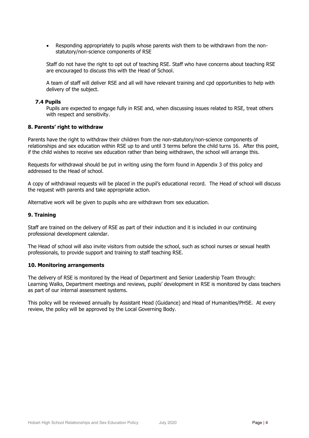Responding appropriately to pupils whose parents wish them to be withdrawn from the nonstatutory/non-science components of RSE

Staff do not have the right to opt out of teaching RSE. Staff who have concerns about teaching RSE are encouraged to discuss this with the Head of School.

A team of staff will deliver RSE and all will have relevant training and cpd opportunities to help with delivery of the subject.

#### **7.4 Pupils**

Pupils are expected to engage fully in RSE and, when discussing issues related to RSE, treat others with respect and sensitivity.

#### <span id="page-3-0"></span>**8. Parents' right to withdraw**

Parents have the right to withdraw their children from the non-statutory/non-science components of relationships and sex education within RSE up to and until 3 terms before the child turns 16. After this point, if the child wishes to receive sex education rather than being withdrawn, the school will arrange this.

Requests for withdrawal should be put in writing using the form found in Appendix 3 of this policy and addressed to the Head of school.

A copy of withdrawal requests will be placed in the pupil's educational record. The Head of school will discuss the request with parents and take appropriate action.

Alternative work will be given to pupils who are withdrawn from sex education.

#### <span id="page-3-1"></span>**9. Training**

Staff are trained on the delivery of RSE as part of their induction and it is included in our continuing professional development calendar.

The Head of school will also invite visitors from outside the school, such as school nurses or sexual health professionals, to provide support and training to staff teaching RSE.

#### <span id="page-3-2"></span>**10. Monitoring arrangements**

The delivery of RSE is monitored by the Head of Department and Senior Leadership Team through: Learning Walks, Department meetings and reviews, pupils' development in RSE is monitored by class teachers as part of our internal assessment systems.

This policy will be reviewed annually by Assistant Head (Guidance) and Head of Humanities/PHSE. At every review, the policy will be approved by the Local Governing Body.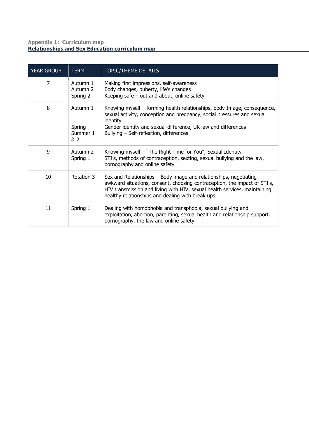## <span id="page-4-0"></span>**Appendix 1: Curriculum map Relationships and Sex Education curriculum map**

| <b>YEAR GROUP</b> | <b>TERM</b>                           | TOPIC/THEME DETAILS                                                                                                                                                                                                                                                              |
|-------------------|---------------------------------------|----------------------------------------------------------------------------------------------------------------------------------------------------------------------------------------------------------------------------------------------------------------------------------|
| 7                 | Autumn 1<br>Autumn 2<br>Spring 2      | Making first impressions, self-awareness<br>Body changes, puberty, life's changes<br>Keeping safe $-$ out and about, online safety                                                                                                                                               |
| 8                 | Autumn 1<br>Spring<br>Summer 1<br>& 2 | Knowing myself – forming health relationships, body Image, consequence,<br>sexual activity, conception and pregnancy, social pressures and sexual<br>identity<br>Gender identity and sexual difference, UK law and differences<br>Bullying - Self-reflection, differences        |
| 9                 | Autumn 2<br>Spring 1                  | Knowing myself - "The Right Time for You", Sexual Identity<br>STI's, methods of contraception, sexting, sexual bullying and the law,<br>pornography and online safety                                                                                                            |
| 10                | Rotation 3                            | Sex and Relationships – Body image and relationships, negotiating<br>awkward situations, consent, choosing contraception, the impact of STI's,<br>HIV transmission and living with HIV, sexual health services, maintaining<br>healthy relationships and dealing with break ups. |
| 11                | Spring 1                              | Dealing with homophobia and transphobia, sexual bullying and<br>exploitation, abortion, parenting, sexual health and relationship support,<br>pornography, the law and online safety                                                                                             |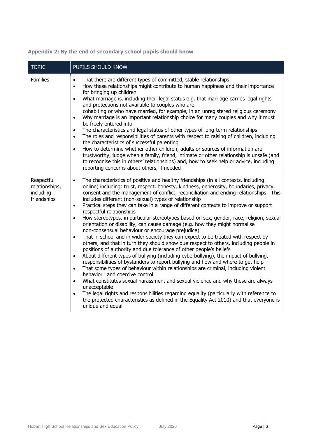<span id="page-5-0"></span>

| Appendix 2: By the end of secondary school pupils should know |
|---------------------------------------------------------------|
|---------------------------------------------------------------|

| <b>TOPIC</b>                                             | PUPILS SHOULD KNOW                                                                                                                                                                                                                                                                                                                                                                                                                                                                                                                                                                                                                                                                                                                                                                                                                                                                                                                                                                                                                                                                                                                                                                                                                                                                                                                                                                                                                                                                                                                                                                                                                                          |
|----------------------------------------------------------|-------------------------------------------------------------------------------------------------------------------------------------------------------------------------------------------------------------------------------------------------------------------------------------------------------------------------------------------------------------------------------------------------------------------------------------------------------------------------------------------------------------------------------------------------------------------------------------------------------------------------------------------------------------------------------------------------------------------------------------------------------------------------------------------------------------------------------------------------------------------------------------------------------------------------------------------------------------------------------------------------------------------------------------------------------------------------------------------------------------------------------------------------------------------------------------------------------------------------------------------------------------------------------------------------------------------------------------------------------------------------------------------------------------------------------------------------------------------------------------------------------------------------------------------------------------------------------------------------------------------------------------------------------------|
| <b>Families</b>                                          | That there are different types of committed, stable relationships<br>$\bullet$<br>How these relationships might contribute to human happiness and their importance<br>$\bullet$<br>for bringing up children<br>What marriage is, including their legal status e.g. that marriage carries legal rights<br>$\bullet$<br>and protections not available to couples who are<br>cohabiting or who have married, for example, in an unregistered religious ceremony<br>Why marriage is an important relationship choice for many couples and why it must<br>$\bullet$<br>be freely entered into<br>The characteristics and legal status of other types of long-term relationships<br>$\bullet$<br>The roles and responsibilities of parents with respect to raising of children, including<br>$\bullet$<br>the characteristics of successful parenting<br>How to determine whether other children, adults or sources of information are<br>$\bullet$<br>trustworthy, judge when a family, friend, intimate or other relationship is unsafe (and<br>to recognise this in others' relationships) and, how to seek help or advice, including<br>reporting concerns about others, if needed                                                                                                                                                                                                                                                                                                                                                                                                                                                                            |
| Respectful<br>relationships,<br>including<br>friendships | The characteristics of positive and healthy friendships (in all contexts, including<br>$\bullet$<br>online) including: trust, respect, honesty, kindness, generosity, boundaries, privacy,<br>consent and the management of conflict, reconciliation and ending relationships. This<br>includes different (non-sexual) types of relationship<br>Practical steps they can take in a range of different contexts to improve or support<br>$\bullet$<br>respectful relationships<br>How stereotypes, in particular stereotypes based on sex, gender, race, religion, sexual<br>$\bullet$<br>orientation or disability, can cause damage (e.g. how they might normalise<br>non-consensual behaviour or encourage prejudice)<br>That in school and in wider society they can expect to be treated with respect by<br>$\bullet$<br>others, and that in turn they should show due respect to others, including people in<br>positions of authority and due tolerance of other people's beliefs<br>About different types of bullying (including cyberbullying), the impact of bullying,<br>$\bullet$<br>responsibilities of bystanders to report bullying and how and where to get help<br>That some types of behaviour within relationships are criminal, including violent<br>$\bullet$<br>behaviour and coercive control<br>What constitutes sexual harassment and sexual violence and why these are always<br>$\bullet$<br>unacceptable<br>The legal rights and responsibilities regarding equality (particularly with reference to<br>$\bullet$<br>the protected characteristics as defined in the Equality Act 2010) and that everyone is<br>unique and equal |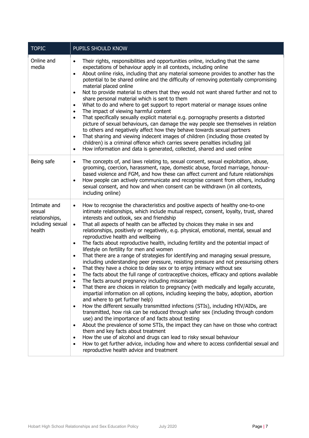| <b>TOPIC</b>                                                           | PUPILS SHOULD KNOW                                                                                                                                                                                                                                                                                                                                                                                                                                                                                                                                                                                                                                                                                                                                                                                                                                                                                                                                                                                                                                                                                                                                                                                                                                                                                                                                                                                                                                                                                                                                                                                                                                                                                                                                                                                                                                                                                          |
|------------------------------------------------------------------------|-------------------------------------------------------------------------------------------------------------------------------------------------------------------------------------------------------------------------------------------------------------------------------------------------------------------------------------------------------------------------------------------------------------------------------------------------------------------------------------------------------------------------------------------------------------------------------------------------------------------------------------------------------------------------------------------------------------------------------------------------------------------------------------------------------------------------------------------------------------------------------------------------------------------------------------------------------------------------------------------------------------------------------------------------------------------------------------------------------------------------------------------------------------------------------------------------------------------------------------------------------------------------------------------------------------------------------------------------------------------------------------------------------------------------------------------------------------------------------------------------------------------------------------------------------------------------------------------------------------------------------------------------------------------------------------------------------------------------------------------------------------------------------------------------------------------------------------------------------------------------------------------------------------|
| Online and<br>media                                                    | Their rights, responsibilities and opportunities online, including that the same<br>$\bullet$<br>expectations of behaviour apply in all contexts, including online<br>About online risks, including that any material someone provides to another has the<br>$\bullet$<br>potential to be shared online and the difficulty of removing potentially compromising<br>material placed online<br>Not to provide material to others that they would not want shared further and not to<br>$\bullet$<br>share personal material which is sent to them<br>What to do and where to get support to report material or manage issues online<br>$\bullet$<br>The impact of viewing harmful content<br>$\bullet$<br>That specifically sexually explicit material e.g. pornography presents a distorted<br>$\bullet$<br>picture of sexual behaviours, can damage the way people see themselves in relation<br>to others and negatively affect how they behave towards sexual partners<br>That sharing and viewing indecent images of children (including those created by<br>$\bullet$<br>children) is a criminal offence which carries severe penalties including jail<br>How information and data is generated, collected, shared and used online<br>$\bullet$                                                                                                                                                                                                                                                                                                                                                                                                                                                                                                                                                                                                                                                         |
| Being safe                                                             | The concepts of, and laws relating to, sexual consent, sexual exploitation, abuse,<br>$\bullet$<br>grooming, coercion, harassment, rape, domestic abuse, forced marriage, honour-<br>based violence and FGM, and how these can affect current and future relationships<br>How people can actively communicate and recognise consent from others, including<br>$\bullet$<br>sexual consent, and how and when consent can be withdrawn (in all contexts,<br>including online)                                                                                                                                                                                                                                                                                                                                                                                                                                                                                                                                                                                                                                                                                                                                                                                                                                                                                                                                                                                                                                                                                                                                                                                                                                                                                                                                                                                                                                 |
| Intimate and<br>sexual<br>relationships,<br>including sexual<br>health | How to recognise the characteristics and positive aspects of healthy one-to-one<br>$\bullet$<br>intimate relationships, which include mutual respect, consent, loyalty, trust, shared<br>interests and outlook, sex and friendship<br>That all aspects of health can be affected by choices they make in sex and<br>$\bullet$<br>relationships, positively or negatively, e.g. physical, emotional, mental, sexual and<br>reproductive health and wellbeing<br>The facts about reproductive health, including fertility and the potential impact of<br>$\bullet$<br>lifestyle on fertility for men and women<br>That there are a range of strategies for identifying and managing sexual pressure,<br>$\bullet$<br>including understanding peer pressure, resisting pressure and not pressurising others<br>That they have a choice to delay sex or to enjoy intimacy without sex<br>$\bullet$<br>The facts about the full range of contraceptive choices, efficacy and options available<br>The facts around pregnancy including miscarriage<br>$\bullet$<br>That there are choices in relation to pregnancy (with medically and legally accurate,<br>$\bullet$<br>impartial information on all options, including keeping the baby, adoption, abortion<br>and where to get further help)<br>How the different sexually transmitted infections (STIs), including HIV/AIDs, are<br>$\bullet$<br>transmitted, how risk can be reduced through safer sex (including through condom<br>use) and the importance of and facts about testing<br>About the prevalence of some STIs, the impact they can have on those who contract<br>$\bullet$<br>them and key facts about treatment<br>How the use of alcohol and drugs can lead to risky sexual behaviour<br>٠<br>How to get further advice, including how and where to access confidential sexual and<br>$\bullet$<br>reproductive health advice and treatment |